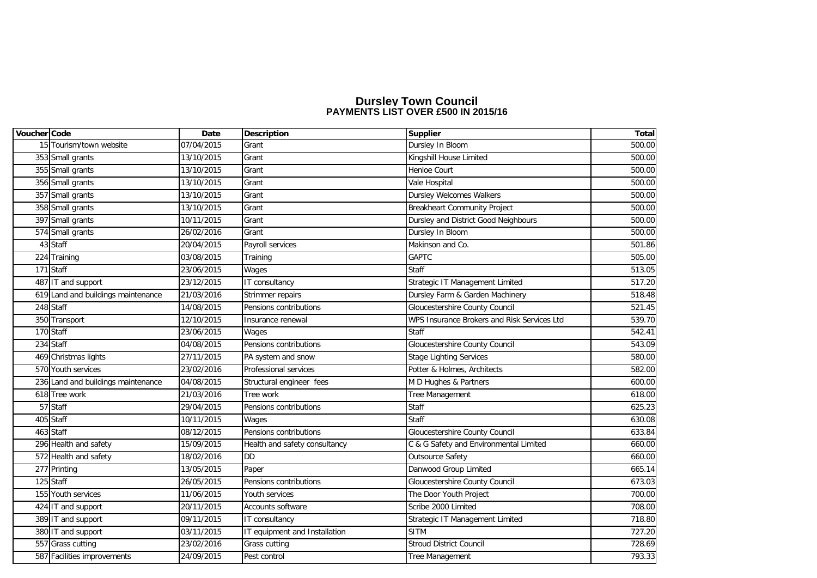## **PAYMENTS LIST OVER £500 IN 2015/16 Dursley Town Council**

| Voucher Code |                                    | Date       | <b>Description</b>            | <b>Supplier</b>                             | Total  |
|--------------|------------------------------------|------------|-------------------------------|---------------------------------------------|--------|
|              | 15 Tourism/town website            | 07/04/2015 | Grant                         | Dursley In Bloom                            | 500.00 |
|              | 353 Small grants                   | 13/10/2015 | Grant                         | Kingshill House Limited                     | 500.00 |
|              | 355 Small grants                   | 13/10/2015 | Grant                         | <b>Henloe Court</b>                         | 500.00 |
|              | 356 Small grants                   | 13/10/2015 | Grant                         | Vale Hospital                               | 500.00 |
|              | 357 Small grants                   | 13/10/2015 | Grant                         | <b>Dursley Welcomes Walkers</b>             | 500.00 |
|              | 358 Small grants                   | 13/10/2015 | Grant                         | <b>Breakheart Community Project</b>         | 500.00 |
|              | 397 Small grants                   | 10/11/2015 | Grant                         | Dursley and District Good Neighbours        | 500.00 |
|              | 574 Small grants                   | 26/02/2016 | Grant                         | Dursley In Bloom                            | 500.00 |
|              | 43 Staff                           | 20/04/2015 | Payroll services              | Makinson and Co.                            | 501.86 |
|              | 224 Training                       | 03/08/2015 | Training                      | GAPTC                                       | 505.00 |
|              | 171 Staff                          | 23/06/2015 | Wages                         | <b>Staff</b>                                | 513.05 |
|              | 487 IT and support                 | 23/12/2015 | IT consultancy                | Strategic IT Management Limited             | 517.20 |
|              | 619 Land and buildings maintenance | 21/03/2016 | Strimmer repairs              | Dursley Farm & Garden Machinery             | 518.48 |
|              | 248 Staff                          | 14/08/2015 | Pensions contributions        | Gloucestershire County Council              | 521.45 |
|              | 350 Transport                      | 12/10/2015 | Insurance renewal             | WPS Insurance Brokers and Risk Services Ltd | 539.70 |
|              | 170 Staff                          | 23/06/2015 | Wages                         | <b>Staff</b>                                | 542.41 |
|              | 234 Staff                          | 04/08/2015 | Pensions contributions        | Gloucestershire County Council              | 543.09 |
|              | 469 Christmas lights               | 27/11/2015 | PA system and snow            | <b>Stage Lighting Services</b>              | 580.00 |
|              | 570 Youth services                 | 23/02/2016 | Professional services         | Potter & Holmes, Architects                 | 582.00 |
|              | 236 Land and buildings maintenance | 04/08/2015 | Structural engineer fees      | M D Hughes & Partners                       | 600.00 |
|              | 618 Tree work                      | 21/03/2016 | Tree work                     | Tree Management                             | 618.00 |
|              | 57 Staff                           | 29/04/2015 | Pensions contributions        | Staff                                       | 625.23 |
|              | 405 Staff                          | 10/11/2015 | Wages                         | <b>Staff</b>                                | 630.08 |
|              | 463 Staff                          | 08/12/2015 | Pensions contributions        | Gloucestershire County Council              | 633.84 |
|              | 296 Health and safety              | 15/09/2015 | Health and safety consultancy | C & G Safety and Environmental Limited      | 660.00 |
|              | 572 Health and safety              | 18/02/2016 | <b>DD</b>                     | <b>Outsource Safety</b>                     | 660.00 |
|              | 277 Printing                       | 13/05/2015 | Paper                         | Danwood Group Limited                       | 665.14 |
|              | 125 Staff                          | 26/05/2015 | Pensions contributions        | Gloucestershire County Council              | 673.03 |
|              | 155 Youth services                 | 11/06/2015 | Youth services                | The Door Youth Project                      | 700.00 |
|              | 424 IT and support                 | 20/11/2015 | Accounts software             | Scribe 2000 Limited                         | 708.00 |
|              | 389 IT and support                 | 09/11/2015 | IT consultancy                | Strategic IT Management Limited             | 718.80 |
|              | 380 IT and support                 | 03/11/2015 | IT equipment and Installation | <b>SITM</b>                                 | 727.20 |
|              | 557 Grass cutting                  | 23/02/2016 | Grass cutting                 | <b>Stroud District Council</b>              | 728.69 |
|              | 587 Facilities improvements        | 24/09/2015 | Pest control                  | Tree Management                             | 793.33 |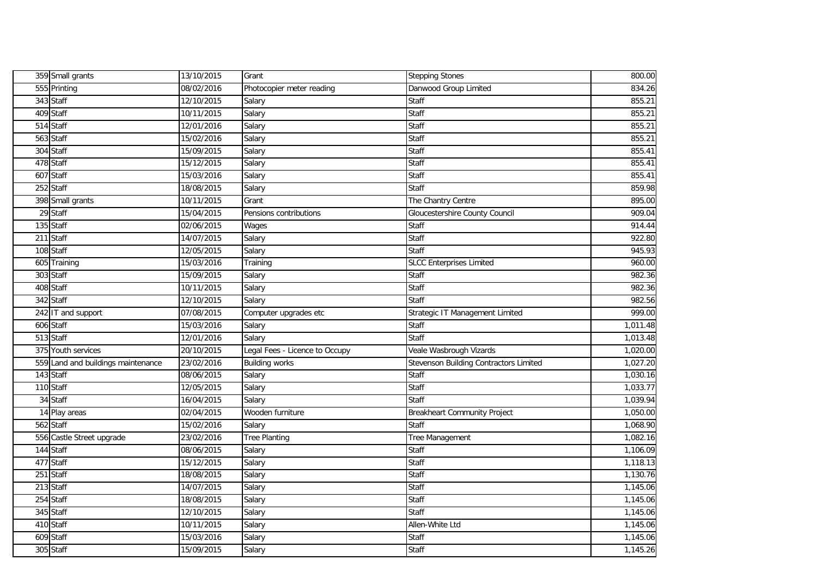| 359 Small grants                   | 13/10/2015              | Grant                          | <b>Stepping Stones</b>                 | 800.00   |
|------------------------------------|-------------------------|--------------------------------|----------------------------------------|----------|
| 555 Printing                       | 08/02/2016              | Photocopier meter reading      | Danwood Group Limited                  | 834.26   |
| 343 Staff                          | 12/10/2015              | Salary                         | Staff                                  | 855.21   |
| 409 Staff                          | 10/11/2015              | Salary                         | Staff                                  | 855.21   |
| 514 Staff                          | 12/01/2016              | Salary                         | Staff                                  | 855.21   |
| 563 Staff                          | 15/02/2016              | Salary                         | Staff                                  | 855.21   |
| 304 Staff                          | 15/09/2015              | Salary                         | Staff                                  | 855.41   |
| 478 Staff                          | 15/12/2015              | Salary                         | Staff                                  | 855.41   |
| 607 Staff                          | 15/03/2016              | Salary                         | Staff                                  | 855.41   |
| 252 Staff                          | 18/08/2015              | Salary                         | Staff                                  | 859.98   |
| 398 Small grants                   | 10/11/2015              | Grant                          | The Chantry Centre                     | 895.00   |
| 29 Staff                           | 15/04/2015              | Pensions contributions         | Gloucestershire County Council         | 909.04   |
| 135 Staff                          | 02/06/2015              | Wages                          | Staff                                  | 914.44   |
| 211 Staff                          | 14/07/2015              | Salary                         | Staff                                  | 922.80   |
| 108 Staff                          | 12/05/2015              | Salary                         | Staff                                  | 945.93   |
| 605 Training                       | 15/03/2016              | Training                       | <b>SLCC Enterprises Limited</b>        | 960.00   |
| 303 Staff                          | 15/09/2015              | Salary                         | Staff                                  | 982.36   |
| 408 Staff                          | 10/11/2015              | Salary                         | Staff                                  | 982.36   |
| 342 Staff                          | 12/10/2015              | Salary                         | Staff                                  | 982.56   |
| 242 IT and support                 | 07/08/2015              | Computer upgrades etc          | Strategic IT Management Limited        | 999.00   |
| 606 Staff                          | 15/03/2016              | Salary                         | Staff                                  | 1,011.48 |
| 513 Staff                          | 12/01/2016              | Salary                         | Staff                                  | 1,013.48 |
| 375 Youth services                 | 20/10/2015              | Legal Fees - Licence to Occupy | Veale Wasbrough Vizards                | 1,020.00 |
| 559 Land and buildings maintenance | 23/02/2016              | <b>Building works</b>          | Stevenson Building Contractors Limited | 1,027.20 |
| 143 Staff                          | 08/06/2015              | Salary                         | Staff                                  | 1,030.16 |
| 110 Staff                          | 12/05/2015              | Salary                         | Staff                                  | 1,033.77 |
| 34 Staff                           | 16/04/2015              | Salary                         | Staff                                  | 1,039.94 |
| 14 Play areas                      | 02/04/2015              | Wooden furniture               | <b>Breakheart Community Project</b>    | 1,050.00 |
| 562 Staff                          | 15/02/2016              | Salary                         | Staff                                  | 1,068.90 |
| 556 Castle Street upgrade          | 23/02/2016              | <b>Tree Planting</b>           | Tree Management                        | 1,082.16 |
| 144 Staff                          | 08/06/2015              | Salary                         | Staff                                  | 1,106.09 |
| 477 Staff                          | 15/12/2015              | Salary                         | Staff                                  | 1,118.13 |
| 251 Staff                          | 18/08/2015              | Salary                         | Staff                                  | 1,130.76 |
| 213 Staff                          | 14/07/2015              | Salary                         | <b>Staff</b>                           | 1,145.06 |
| 254 Staff                          | 18/08/2015              | Salary                         | Staff                                  | 1,145.06 |
| 345 Staff                          | $\overline{12}/10/2015$ | Salary                         | Staff                                  | 1,145.06 |
| 410 Staff                          | 10/11/2015              | Salary                         | Allen-White Ltd                        | 1,145.06 |
| 609 Staff                          | 15/03/2016              | Salary                         | <b>Staff</b>                           | 1,145.06 |
| 305 Staff                          | 15/09/2015              | Salary                         | <b>Staff</b>                           | 1,145.26 |
|                                    |                         |                                |                                        |          |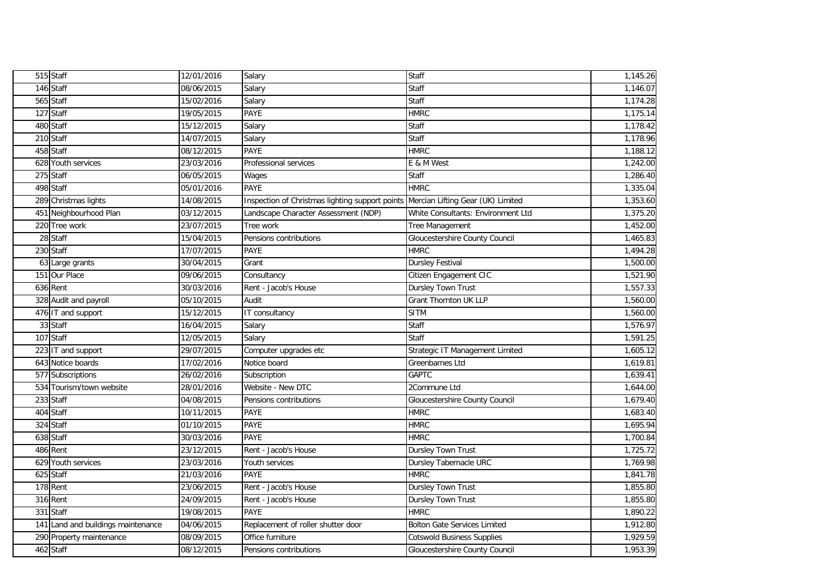| 515 Staff                          | 12/01/2016 | Salary                                          | Staff                                 | 1,145.26 |
|------------------------------------|------------|-------------------------------------------------|---------------------------------------|----------|
| 146 Staff                          | 08/06/2015 | Salary                                          | <b>Staff</b>                          | 1,146.07 |
| 565 Staff                          | 15/02/2016 | Salary                                          | Staff                                 | 1,174.28 |
| 127 Staff                          | 19/05/2015 | PAYE                                            | <b>HMRC</b>                           | 1,175.14 |
| 480 Staff                          | 15/12/2015 | Salary                                          | Staff                                 | 1,178.42 |
| 210 Staff                          | 14/07/2015 | Salary                                          | Staff                                 | 1,178.96 |
| 458 Staff                          | 08/12/2015 | PAYE                                            | <b>HMRC</b>                           | 1,188.12 |
| 628 Youth services                 | 23/03/2016 | Professional services                           | E & M West                            | 1,242.00 |
| 275 Staff                          | 06/05/2015 | Wages                                           | Staff                                 | 1,286.40 |
| 498 Staff                          | 05/01/2016 | <b>PAYE</b>                                     | <b>HMRC</b>                           | 1,335.04 |
| 289 Christmas lights               | 14/08/2015 | Inspection of Christmas lighting support points | Mercian Lifting Gear (UK) Limited     | 1,353.60 |
| 451 Neighbourhood Plan             | 03/12/2015 | Landscape Character Assessment (NDP)            | White Consultants: Environment Ltd    | 1,375.20 |
| 220 Tree work                      | 23/07/2015 | Tree work                                       | Tree Management                       | 1,452.00 |
| 28 Staff                           | 15/04/2015 | Pensions contributions                          | <b>Gloucestershire County Council</b> | 1,465.83 |
| 230 Staff                          | 17/07/2015 | PAYE                                            | <b>HMRC</b>                           | 1,494.28 |
| 63 Large grants                    | 30/04/2015 | Grant                                           | <b>Dursley Festival</b>               | 1,500.00 |
| 151 Our Place                      | 09/06/2015 | Consultancy                                     | Citizen Engagement CIC                | 1,521.90 |
| <b>636</b> Rent                    | 30/03/2016 | Rent - Jacob's House                            | <b>Dursley Town Trust</b>             | 1,557.33 |
| 328 Audit and payroll              | 05/10/2015 | Audit                                           | <b>Grant Thornton UK LLP</b>          | 1,560.00 |
| 476 IT and support                 | 15/12/2015 | IT consultancy                                  | <b>SITM</b>                           | 1,560.00 |
| 33 Staff                           | 16/04/2015 | Salary                                          | Staff                                 | 1,576.97 |
| 107 Staff                          | 12/05/2015 | Salary                                          | <b>Staff</b>                          | 1,591.25 |
| 223 IT and support                 | 29/07/2015 | Computer upgrades etc                           | Strategic IT Management Limited       | 1,605.12 |
| 643 Notice boards                  | 17/02/2016 | Notice board                                    | Greenbarnes Ltd                       | 1,619.81 |
| 577 Subscriptions                  | 26/02/2016 | Subscription                                    | <b>GAPTC</b>                          | 1,639.41 |
| 534 Tourism/town website           | 28/01/2016 | Website - New DTC                               | 2Commune Ltd                          | 1,644.00 |
| 233 Staff                          | 04/08/2015 | Pensions contributions                          | Gloucestershire County Council        | 1,679.40 |
| 404 Staff                          | 10/11/2015 | PAYE                                            | <b>HMRC</b>                           | 1,683.40 |
| 324 Staff                          | 01/10/2015 | PAYE                                            | <b>HMRC</b>                           | 1,695.94 |
| 638 Staff                          | 30/03/2016 | PAYE                                            | <b>HMRC</b>                           | 1,700.84 |
| 486 Rent                           | 23/12/2015 | Rent - Jacob's House                            | Dursley Town Trust                    | 1,725.72 |
| 629 Youth services                 | 23/03/2016 | Youth services                                  | Dursley Tabernacle URC                | 1,769.98 |
| 625 Staff                          | 21/03/2016 | PAYE                                            | <b>HMRC</b>                           | 1,841.78 |
| 178 Rent                           | 23/06/2015 | Rent - Jacob's House                            | Dursley Town Trust                    | 1,855.80 |
| 316 Rent                           | 24/09/2015 | Rent - Jacob's House                            | <b>Dursley Town Trust</b>             | 1,855.80 |
| 331 Staff                          | 19/08/2015 | PAYE                                            | <b>HMRC</b>                           | 1,890.22 |
| 141 Land and buildings maintenance | 04/06/2015 | Replacement of roller shutter door              | <b>Bolton Gate Services Limited</b>   | 1,912.80 |
| 290 Property maintenance           | 08/09/2015 | Office furniture                                | <b>Cotswold Business Supplies</b>     | 1,929.59 |
| 462 Staff                          | 08/12/2015 | Pensions contributions                          | Gloucestershire County Council        | 1,953.39 |
|                                    |            |                                                 |                                       |          |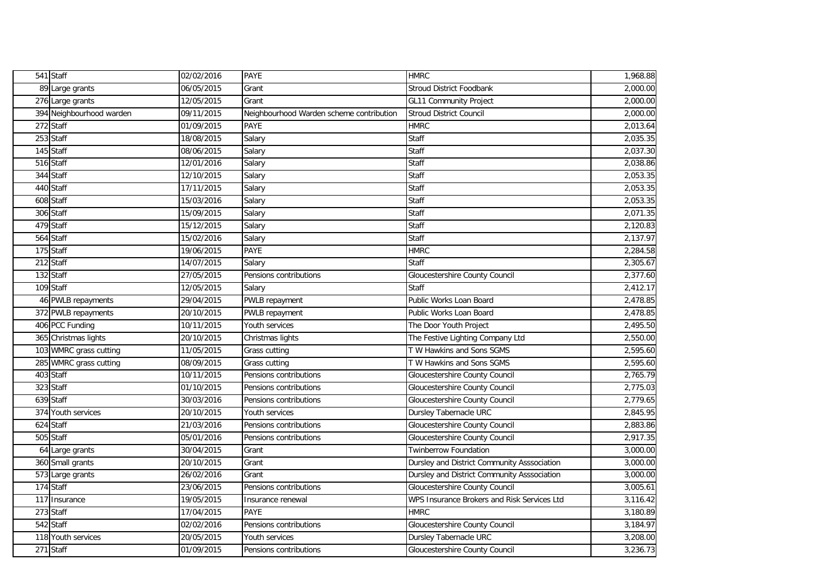| 541 Staff                | 02/02/2016 | <b>PAYE</b>                              | <b>HMRC</b>                                 | 1,968.88 |
|--------------------------|------------|------------------------------------------|---------------------------------------------|----------|
| 89 Large grants          | 06/05/2015 | Grant                                    | <b>Stroud District Foodbank</b>             | 2,000.00 |
| 276 Large grants         | 12/05/2015 | Grant                                    | <b>GL11 Community Project</b>               | 2,000.00 |
| 394 Neighbourhood warden | 09/11/2015 | Neighbourhood Warden scheme contribution | <b>Stroud District Council</b>              | 2,000.00 |
| 272 Staff                | 01/09/2015 | <b>PAYE</b>                              | <b>HMRC</b>                                 | 2,013.64 |
| 253 Staff                | 18/08/2015 | Salary                                   | Staff                                       | 2,035.35 |
| 145 Staff                | 08/06/2015 | Salary                                   | <b>Staff</b>                                | 2,037.30 |
| 516 Staff                | 12/01/2016 | Salary                                   | <b>Staff</b>                                | 2,038.86 |
| 344 Staff                | 12/10/2015 | Salary                                   | <b>Staff</b>                                | 2,053.35 |
| 440 Staff                | 17/11/2015 | Salary                                   | <b>Staff</b>                                | 2,053.35 |
| 608 Staff                | 15/03/2016 | Salary                                   | Staff                                       | 2,053.35 |
| 306 Staff                | 15/09/2015 | Salary                                   | <b>Staff</b>                                | 2,071.35 |
| 479 Staff                | 15/12/2015 | Salary                                   | Staff                                       | 2,120.83 |
| 564 Staff                | 15/02/2016 | Salary                                   | Staff                                       | 2,137.97 |
| 175 Staff                | 19/06/2015 | PAYE                                     | <b>HMRC</b>                                 | 2,284.58 |
| 212 Staff                | 14/07/2015 | Salary                                   | Staff                                       | 2,305.67 |
| 132 Staff                | 27/05/2015 | Pensions contributions                   | Gloucestershire County Council              | 2,377.60 |
| 109 Staff                | 12/05/2015 | Salary                                   | <b>Staff</b>                                | 2,412.17 |
| 46 PWLB repayments       | 29/04/2015 | PWLB repayment                           | Public Works Loan Board                     | 2,478.85 |
| 372 PWLB repayments      | 20/10/2015 | PWLB repayment                           | Public Works Loan Board                     | 2,478.85 |
| 406 PCC Funding          | 10/11/2015 | Youth services                           | The Door Youth Project                      | 2,495.50 |
| 365 Christmas lights     | 20/10/2015 | Christmas lights                         | The Festive Lighting Company Ltd            | 2,550.00 |
| 103 WMRC grass cutting   | 11/05/2015 | Grass cutting                            | T W Hawkins and Sons SGMS                   | 2,595.60 |
| 285 WMRC grass cutting   | 08/09/2015 | Grass cutting                            | T W Hawkins and Sons SGMS                   | 2,595.60 |
| 403 Staff                | 10/11/2015 | Pensions contributions                   | Gloucestershire County Council              | 2,765.79 |
| 323 Staff                | 01/10/2015 | Pensions contributions                   | Gloucestershire County Council              | 2,775.03 |
| 639 Staff                | 30/03/2016 | Pensions contributions                   | Gloucestershire County Council              | 2,779.65 |
| 374 Youth services       | 20/10/2015 | Youth services                           | Dursley Tabernacle URC                      | 2,845.95 |
| 624 Staff                | 21/03/2016 | Pensions contributions                   | Gloucestershire County Council              | 2,883.86 |
| 505 Staff                | 05/01/2016 | Pensions contributions                   | <b>Gloucestershire County Council</b>       | 2,917.35 |
| 64 Large grants          | 30/04/2015 | Grant                                    | <b>Twinberrow Foundation</b>                | 3,000.00 |
| 360 Small grants         | 20/10/2015 | Grant                                    | Dursley and District Community Asssociation | 3,000.00 |
| 573 Large grants         | 26/02/2016 | Grant                                    | Dursley and District Community Asssociation | 3,000.00 |
| 174 Staff                | 23/06/2015 | Pensions contributions                   | Gloucestershire County Council              | 3,005.61 |
| 117 Insurance            | 19/05/2015 | Insurance renewal                        | WPS Insurance Brokers and Risk Services Ltd | 3,116.42 |
| 273 Staff                | 17/04/2015 | <b>PAYE</b>                              | <b>HMRC</b>                                 | 3,180.89 |
| 542 Staff                | 02/02/2016 | Pensions contributions                   | Gloucestershire County Council              | 3,184.97 |
| 118 Youth services       | 20/05/2015 | Youth services                           | Dursley Tabernacle URC                      | 3,208.00 |
| 271 Staff                | 01/09/2015 | Pensions contributions                   | Gloucestershire County Council              | 3,236.73 |